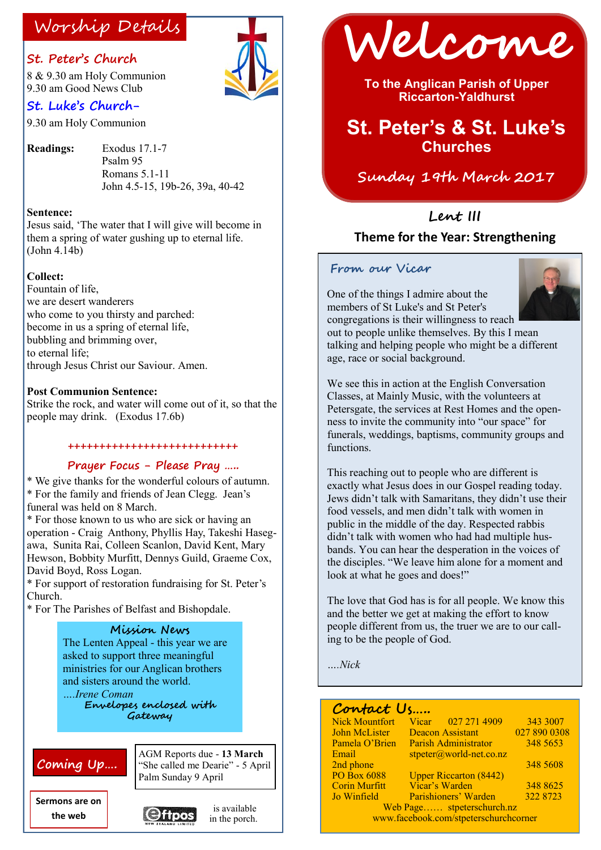#### **St. Peter's Church**

8 & 9.30 am Holy Communion 9.30 am Good News Club

### **St. Luke's Church-**

9.30 am Holy Communion

**Readings:** Exodus 17.1-7 Psalm 95 Romans 5.1-11 John 4.5-15, 19b-26, 39a, 40-42

#### **Sentence:**

Jesus said, 'The water that I will give will become in them a spring of water gushing up to eternal life.  $(John 4.14b)$ 

#### **Collect:**

Fountain of life, we are desert wanderers who come to you thirsty and parched: become in us a spring of eternal life, bubbling and brimming over, to eternal life; through Jesus Christ our Saviour. Amen.

#### **Post Communion Sentence:**

Strike the rock, and water will come out of it, so that the people may drink. (Exodus 17.6b)

#### **+++++++++++++++++++++++++++**

#### **Prayer Focus - Please Pray …..**

\* We give thanks for the wonderful colours of autumn. \* For the family and friends of Jean Clegg. Jean's funeral was held on 8 March.

\* For those known to us who are sick or having an operation - Craig Anthony, Phyllis Hay, Takeshi Hasegawa, Sunita Rai, Colleen Scanlon, David Kent, Mary Hewson, Bobbity Murfitt, Dennys Guild, Graeme Cox, David Boyd, Ross Logan.

\* For support of restoration fundraising for St. Peter's Church.

\* For The Parishes of Belfast and Bishopdale.

#### **Mission News**

The Lenten Appeal - this year we are asked to support three meaningful ministries for our Anglican brothers and sisters around the world. *….Irene Coman*  **Envelopes enclosed with** 

**Gateway**

## **Coming Up….**

AGM Reports due - **13 March** "She called me Dearie" - 5 April Palm Sunday 9 April

is available

**Sermons are on the web**



Worship Details **Welcome** 

**To the Anglican Parish of Upper Riccarton-Yaldhurst**

# **St. Peter's & St. Luke's Churches**

**Sunday 19th March 2017**

## **Lent III Theme for the Year: Strengthening**

#### **From our Vicar**



One of the things I admire about the members of St Luke's and St Peter's congregations is their willingness to reach out to people unlike themselves. By this I mean talking and helping people who might be a different age, race or social background.

We see this in action at the English Conversation Classes, at Mainly Music, with the volunteers at Petersgate, the services at Rest Homes and the openness to invite the community into "our space" for funerals, weddings, baptisms, community groups and functions.

This reaching out to people who are different is exactly what Jesus does in our Gospel reading today. Jews didn't talk with Samaritans, they didn't use their food vessels, and men didn't talk with women in public in the middle of the day. Respected rabbis didn't talk with women who had had multiple husbands. You can hear the desperation in the voices of the disciples. "We leave him alone for a moment and look at what he goes and does!"

The love that God has is for all people. We know this and the better we get at making the effort to know people different from us, the truer we are to our calling to be the people of God.

*….Nick*

### **Contact Us…..**

| <b>Nick Mountfort</b>                 | Vicar 027 271 4909            | 343 3007     |
|---------------------------------------|-------------------------------|--------------|
| <b>John McLister</b>                  | <b>Deacon Assistant</b>       | 027 890 0308 |
| Pamela O'Brien                        | <b>Parish Administrator</b>   | 348 5653     |
| Email                                 | $stpeter@world-net.co.nz$     |              |
| 2nd phone                             |                               | 348 5608     |
| <b>PO Box 6088</b>                    | <b>Upper Riccarton (8442)</b> |              |
| <b>Corin Murfitt</b>                  | Vicar's Warden                | 348 8625     |
| Jo Winfield                           | Parishioners' Warden          | 322 8723     |
| Web Page stpeterschurch.nz            |                               |              |
| www.facebook.com/stpeterschurchcorner |                               |              |
|                                       |                               |              |